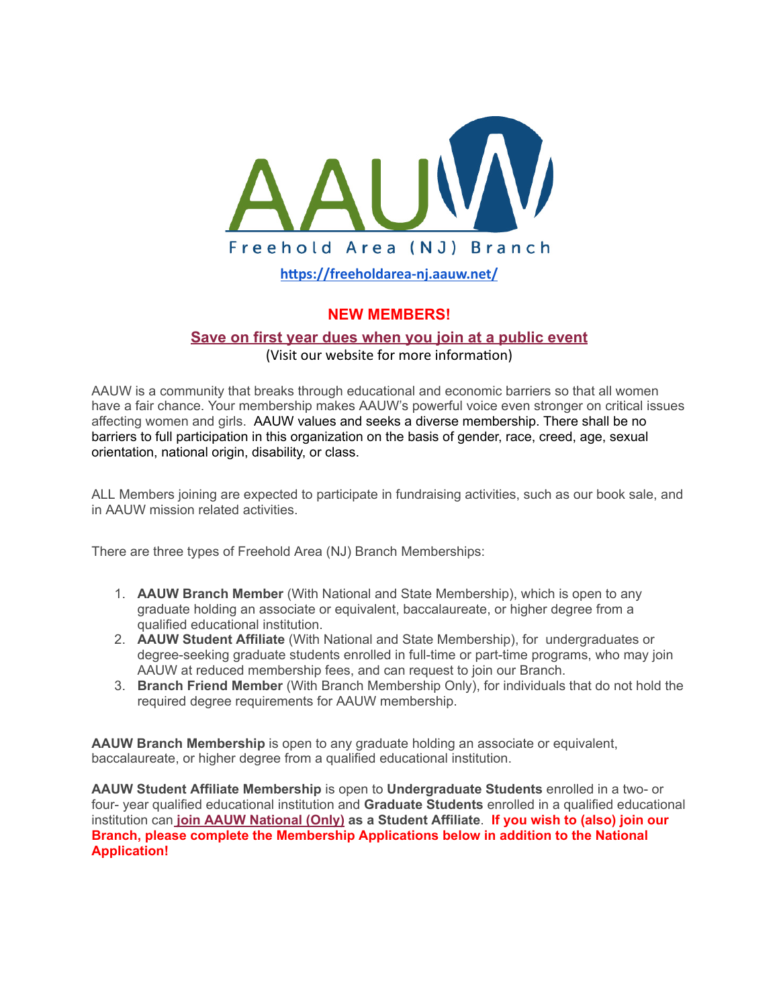

**[hps://freeholdarea-nj.aauw.net/](https://freeholdarea-nj.aauw.net/)**

## **NEW MEMBERS!**

### **[Save on first year dues when you join at a public event](https://freeholdarea-nj.aauw.net/2017/04/06/shape-the-future-special-offer-on-dues/)** (Visit our website for more information)

AAUW is a community that breaks through educational and economic barriers so that all women have a fair chance. Your membership makes AAUW's powerful voice even stronger on critical issues affecting women and girls. AAUW values and seeks a diverse membership. There shall be no barriers to full participation in this organization on the basis of gender, race, creed, age, sexual orientation, national origin, disability, or class.

ALL Members joining are expected to participate in fundraising activities, such as our book sale, and in AAUW mission related activities.

There are three types of Freehold Area (NJ) Branch Memberships:

- 1. **AAUW Branch Member** (With National and State Membership), which is open to any graduate holding an associate or equivalent, baccalaureate, or higher degree from a qualified educational institution.
- 2. **AAUW Student Affiliate** (With National and State Membership), for undergraduates or degree-seeking graduate students enrolled in full-time or part-time programs, who may join AAUW at reduced membership fees, and can request to join our Branch.
- 3. **Branch Friend Member** (With Branch Membership Only), for individuals that do not hold the required degree requirements for AAUW membership.

**AAUW Branch Membership** is open to any graduate holding an associate or equivalent, baccalaureate, or higher degree from a qualified educational institution.

**AAUW Student Affiliate Membership** is open to **Undergraduate Students** enrolled in a two- or four- year qualified educational institution and **Graduate Students** enrolled in a qualified educational institution can **[join AAUW National \(Only\)](https://www.aauw.org/membership/) as a Student Affiliate**. **If you wish to (also) join our Branch, please complete the Membership Applications below in addition to the National Application!**